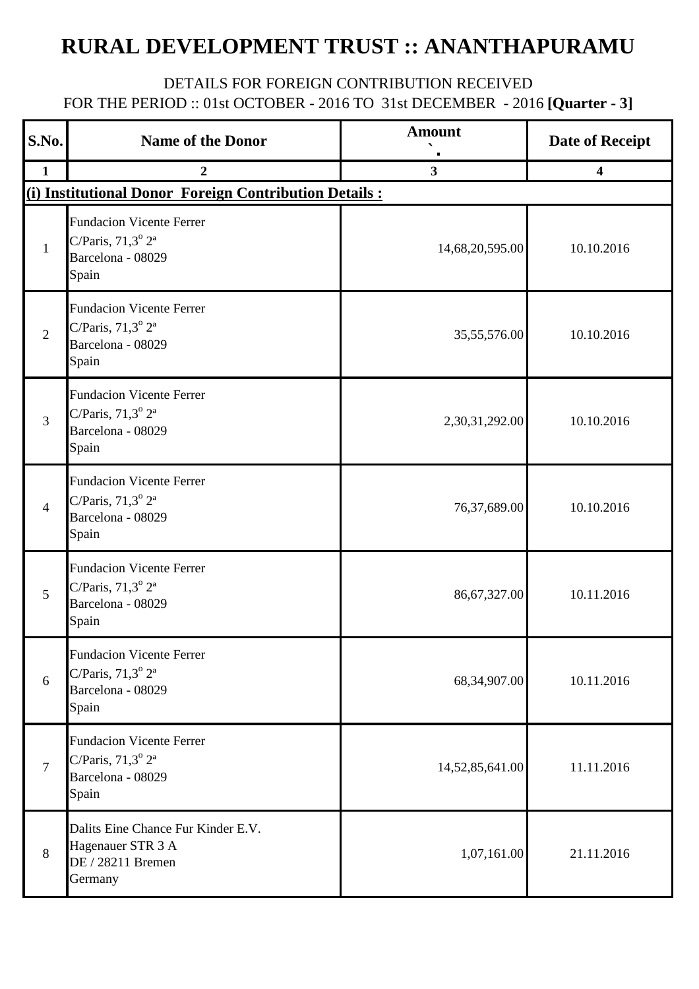## **RURAL DEVELOPMENT TRUST :: ANANTHAPURAMU**

## DETAILS FOR FOREIGN CONTRIBUTION RECEIVED

FOR THE PERIOD :: 01st OCTOBER - 2016 TO 31st DECEMBER - 2016 **[Quarter - 3]**

| S.No.          | <b>Name of the Donor</b>                                                                              | <b>Amount</b>           | <b>Date of Receipt</b> |
|----------------|-------------------------------------------------------------------------------------------------------|-------------------------|------------------------|
| $\mathbf{1}$   | 2                                                                                                     | $\overline{\mathbf{3}}$ | 4                      |
|                | (i) Institutional Donor Foreign Contribution Details :                                                |                         |                        |
| $\mathbf{1}$   | <b>Fundacion Vicente Ferrer</b><br>C/Paris, $71,3^{\circ} 2^{\circ}$<br>Barcelona - 08029<br>Spain    | 14,68,20,595.00         | 10.10.2016             |
| $\overline{2}$ | <b>Fundacion Vicente Ferrer</b><br>C/Paris, $71,3^{\circ} 2^{\circ}$<br>Barcelona - 08029<br>Spain    | 35,55,576.00            | 10.10.2016             |
| $\overline{3}$ | <b>Fundacion Vicente Ferrer</b><br>C/Paris, $71,3^{\circ} 2^{\circ}$<br>Barcelona - 08029<br>Spain    | 2,30,31,292.00          | 10.10.2016             |
| $\overline{4}$ | <b>Fundacion Vicente Ferrer</b><br>C/Paris, $71,3^{\circ} 2^{\circ}$<br>Barcelona - 08029<br>Spain    | 76,37,689.00            | 10.10.2016             |
| 5              | <b>Fundacion Vicente Ferrer</b><br>C/Paris, $71,3^{\circ} 2^{\circ}$<br>Barcelona - 08029<br>Spain    | 86,67,327.00            | 10.11.2016             |
| 6              | <b>Fundacion Vicente Ferrer</b><br>C/Paris, $71,3^{\circ} 2^{\circ}$<br>Barcelona - 08029<br>Spain    | 68,34,907.00            | 10.11.2016             |
| $\overline{7}$ | <b>Fundacion Vicente Ferrer</b><br>C/Paris, $71,3^{\circ} 2^{\text{a}}$<br>Barcelona - 08029<br>Spain | 14,52,85,641.00         | 11.11.2016             |
| 8              | Dalits Eine Chance Fur Kinder E.V.<br>Hagenauer STR 3 A<br>DE / 28211 Bremen<br>Germany               | 1,07,161.00             | 21.11.2016             |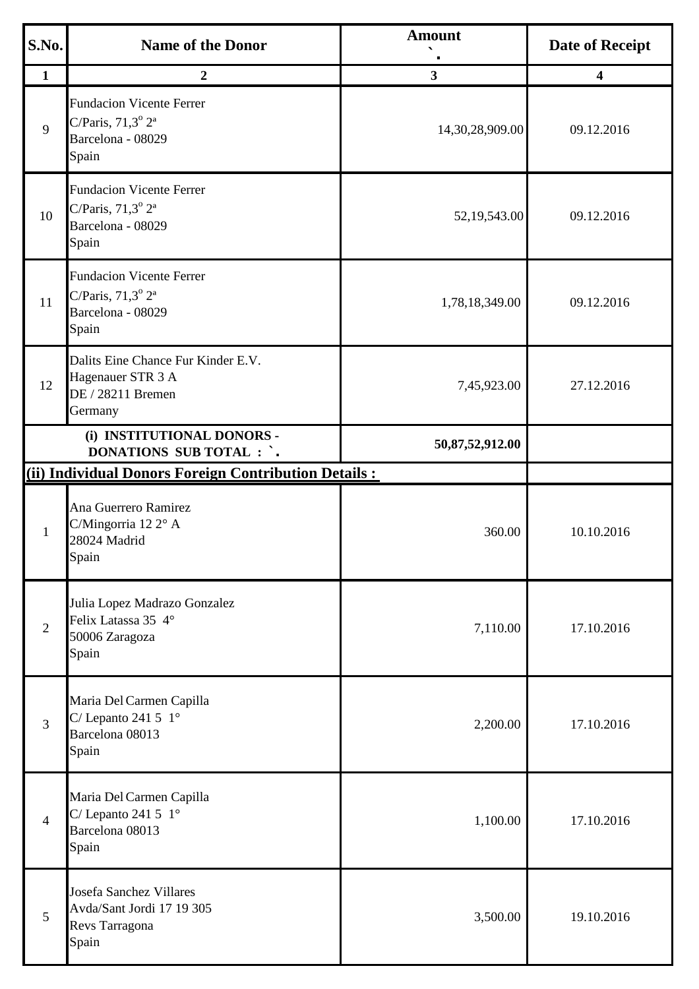| S.No.          | <b>Name of the Donor</b>                                                                           | <b>Amount</b>           | <b>Date of Receipt</b>  |
|----------------|----------------------------------------------------------------------------------------------------|-------------------------|-------------------------|
| $\mathbf{1}$   | $\boldsymbol{2}$                                                                                   | $\overline{\mathbf{3}}$ | $\overline{\mathbf{4}}$ |
| 9              | <b>Fundacion Vicente Ferrer</b><br>C/Paris, $71,3^{\circ} 2^{\circ}$<br>Barcelona - 08029<br>Spain | 14,30,28,909.00         | 09.12.2016              |
| 10             | <b>Fundacion Vicente Ferrer</b><br>C/Paris, $71,3^{\circ} 2^{\circ}$<br>Barcelona - 08029<br>Spain | 52,19,543.00            | 09.12.2016              |
| 11             | <b>Fundacion Vicente Ferrer</b><br>C/Paris, $71,3^{\circ} 2^{\circ}$<br>Barcelona - 08029<br>Spain | 1,78,18,349.00          | 09.12.2016              |
| 12             | Dalits Eine Chance Fur Kinder E.V.<br>Hagenauer STR 3 A<br>DE / 28211 Bremen<br>Germany            | 7,45,923.00             | 27.12.2016              |
|                | (i) INSTITUTIONAL DONORS -<br><b>DONATIONS SUB TOTAL : `.</b>                                      |                         |                         |
|                | (ii) Individual Donors Foreign Contribution Details :                                              |                         |                         |
| 1              | Ana Guerrero Ramirez<br>C/Mingorria 12 2° A<br>28024 Madrid<br>Spain                               | 360.00                  | 10.10.2016              |
| $\overline{2}$ | Julia Lopez Madrazo Gonzalez<br>Felix Latassa 35 4°<br>50006 Zaragoza<br>Spain                     | 7,110.00                | 17.10.2016              |
| $\overline{3}$ | Maria Del Carmen Capilla<br>C/Lepanto 241 5 $1^\circ$<br>Barcelona 08013<br>Spain                  | 2,200.00                | 17.10.2016              |
| $\overline{4}$ | Maria Del Carmen Capilla<br>C/Lepanto 241 5 $1^\circ$<br>Barcelona 08013<br>Spain                  | 1,100.00                | 17.10.2016              |
| 5              | <b>Josefa Sanchez Villares</b><br>Avda/Sant Jordi 17 19 305<br>Revs Tarragona<br>Spain             | 3,500.00                | 19.10.2016              |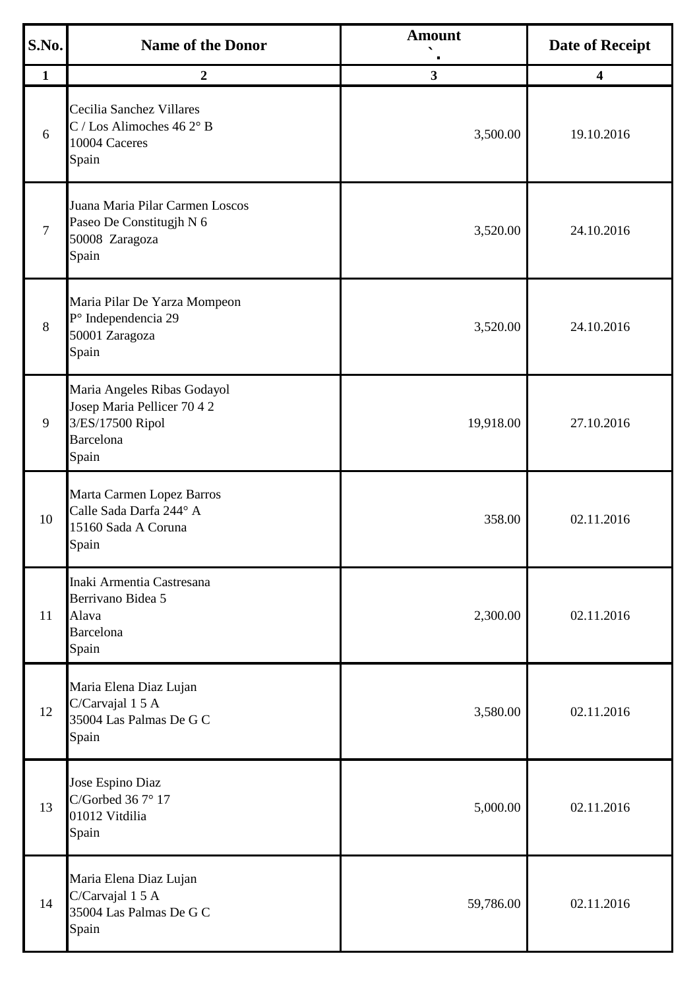| S.No.          | <b>Name of the Donor</b>                                                                                    | <b>Amount</b>           | <b>Date of Receipt</b>  |
|----------------|-------------------------------------------------------------------------------------------------------------|-------------------------|-------------------------|
| $\mathbf{1}$   | $\boldsymbol{2}$                                                                                            | $\overline{\mathbf{3}}$ | $\overline{\mathbf{4}}$ |
| 6              | Cecilia Sanchez Villares<br>$C /$ Los Alimoches 46 2° B<br>10004 Caceres<br>Spain                           | 3,500.00                | 19.10.2016              |
| $\overline{7}$ | Juana Maria Pilar Carmen Loscos<br>Paseo De Constitugjh N 6<br>50008 Zaragoza<br>Spain                      | 3,520.00                | 24.10.2016              |
| 8              | Maria Pilar De Yarza Mompeon<br>P° Independencia 29<br>50001 Zaragoza<br>Spain                              | 3,520.00                | 24.10.2016              |
| 9              | Maria Angeles Ribas Godayol<br>Josep Maria Pellicer 70 4 2<br>3/ES/17500 Ripol<br><b>Barcelona</b><br>Spain | 19,918.00               | 27.10.2016              |
| 10             | Marta Carmen Lopez Barros<br>Calle Sada Darfa 244° A<br>15160 Sada A Coruna<br>Spain                        | 358.00                  | 02.11.2016              |
| 11             | Inaki Armentia Castresana<br>Berrivano Bidea 5<br>Alava<br><b>Barcelona</b><br>Spain                        | 2,300.00                | 02.11.2016              |
| 12             | Maria Elena Diaz Lujan<br>C/Carvajal 15 A<br>35004 Las Palmas De G C<br>Spain                               | 3,580.00                | 02.11.2016              |
| 13             | Jose Espino Diaz<br>C/Gorbed 36 $7^{\circ}$ 17<br>01012 Vitdilia<br>Spain                                   | 5,000.00                | 02.11.2016              |
| 14             | Maria Elena Diaz Lujan<br>C/Carvajal 15 A<br>35004 Las Palmas De G C<br>Spain                               | 59,786.00               | 02.11.2016              |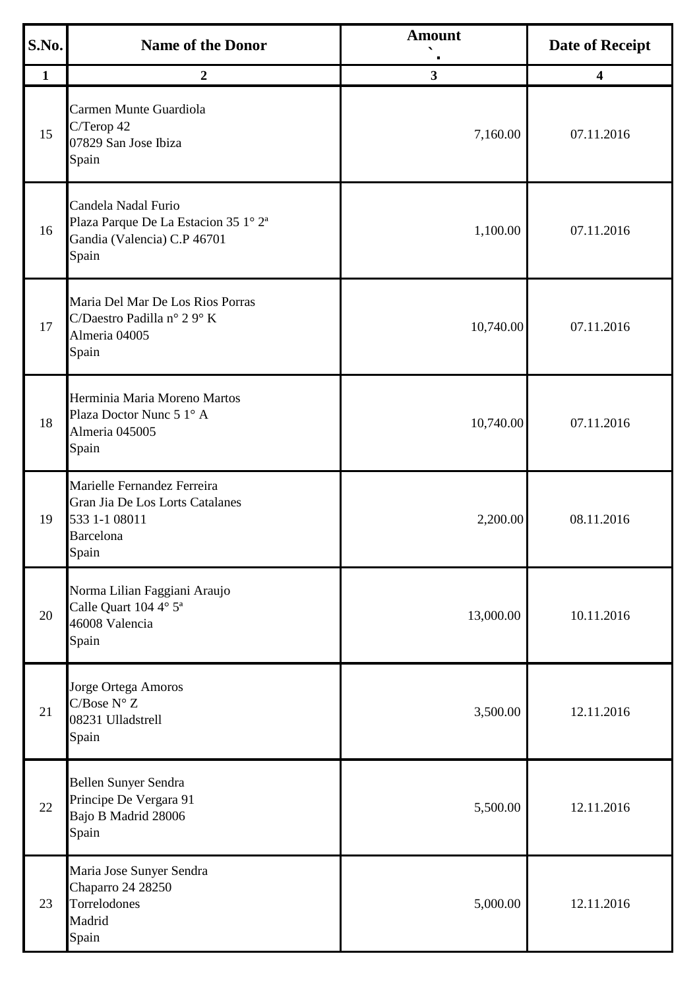| S.No.        | <b>Name of the Donor</b>                                                                                        | <b>Amount</b>           | <b>Date of Receipt</b>  |
|--------------|-----------------------------------------------------------------------------------------------------------------|-------------------------|-------------------------|
| $\mathbf{1}$ | $\boldsymbol{2}$                                                                                                | $\overline{\mathbf{3}}$ | $\overline{\mathbf{4}}$ |
| 15           | Carmen Munte Guardiola<br>C/Terop 42<br>07829 San Jose Ibiza<br>Spain                                           | 7,160.00                | 07.11.2016              |
| 16           | Candela Nadal Furio<br>Plaza Parque De La Estacion 35 1° 2 <sup>ª</sup><br>Gandia (Valencia) C.P 46701<br>Spain | 1,100.00                | 07.11.2016              |
| 17           | Maria Del Mar De Los Rios Porras<br>C/Daestro Padilla nº 2 9° K<br>Almeria 04005<br>Spain                       | 10,740.00               | 07.11.2016              |
| 18           | Herminia Maria Moreno Martos<br>Plaza Doctor Nunc 5 1° A<br>Almeria 045005<br>Spain                             | 10,740.00               | 07.11.2016              |
| 19           | Marielle Fernandez Ferreira<br>Gran Jia De Los Lorts Catalanes<br>533 1-1 08011<br><b>Barcelona</b><br>Spain    | 2,200.00                | 08.11.2016              |
| 20           | Norma Lilian Faggiani Araujo<br>Calle Quart 104 4° 5 <sup>a</sup><br>46008 Valencia<br>Spain                    | 13,000.00               | 10.11.2016              |
| 21           | Jorge Ortega Amoros<br>C/Bose N <sup>o</sup> Z<br>08231 Ulladstrell<br>Spain                                    | 3,500.00                | 12.11.2016              |
| 22           | Bellen Sunyer Sendra<br>Principe De Vergara 91<br>Bajo B Madrid 28006<br>Spain                                  | 5,500.00                | 12.11.2016              |
| 23           | Maria Jose Sunyer Sendra<br>Chaparro 24 28250<br>Torrelodones<br>Madrid<br>Spain                                | 5,000.00                | 12.11.2016              |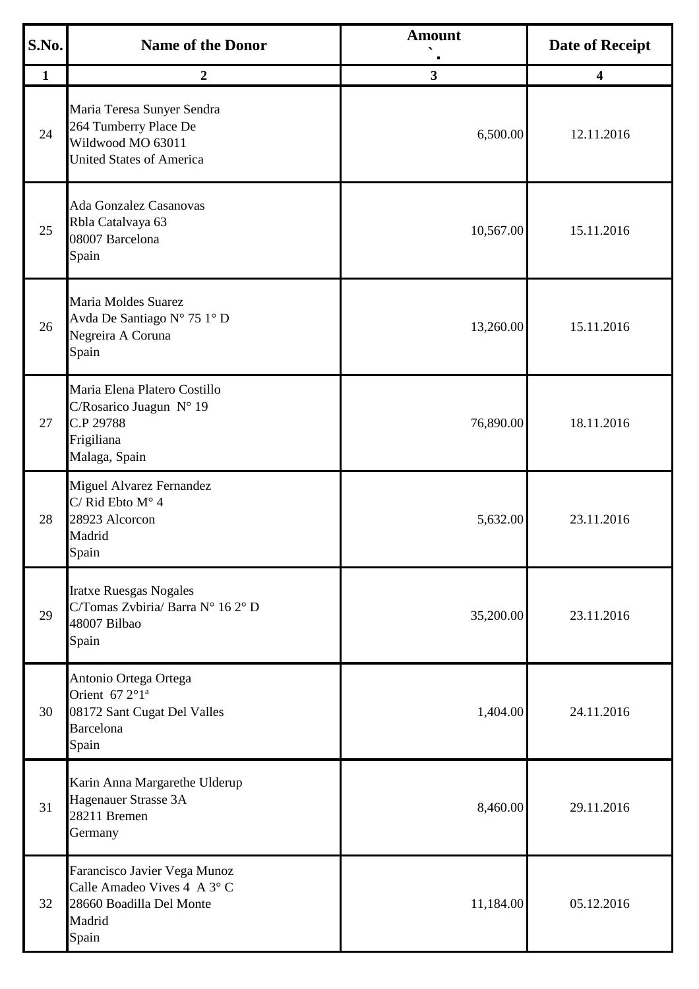| S.No.        | <b>Name of the Donor</b>                                                                                        | <b>Amount</b>           | <b>Date of Receipt</b>  |
|--------------|-----------------------------------------------------------------------------------------------------------------|-------------------------|-------------------------|
| $\mathbf{1}$ | $\boldsymbol{2}$                                                                                                | $\overline{\mathbf{3}}$ | $\overline{\mathbf{4}}$ |
| 24           | Maria Teresa Sunyer Sendra<br>264 Tumberry Place De<br>Wildwood MO 63011<br><b>United States of America</b>     | 6,500.00                | 12.11.2016              |
| 25           | Ada Gonzalez Casanovas<br>Rbla Catalvaya 63<br>08007 Barcelona<br>Spain                                         | 10,567.00               | 15.11.2016              |
| 26           | Maria Moldes Suarez<br>Avda De Santiago N° 75 1° D<br>Negreira A Coruna<br>Spain                                | 13,260.00               | 15.11.2016              |
| 27           | Maria Elena Platero Costillo<br>C/Rosarico Juagun Nº 19<br>C.P 29788<br>Frigiliana<br>Malaga, Spain             | 76,890.00               | 18.11.2016              |
| 28           | Miguel Alvarez Fernandez<br>$C/$ Rid Ebto M° 4<br>28923 Alcorcon<br>Madrid<br>Spain                             | 5,632.00                | 23.11.2016              |
| 29           | <b>Iratxe Ruesgas Nogales</b><br>C/Tomas Zvbiria/ Barra N° 16 2° D<br>48007 Bilbao<br>Spain                     | 35,200.00               | 23.11.2016              |
| 30           | Antonio Ortega Ortega<br>Orient 67 2°1 <sup>ª</sup><br>08172 Sant Cugat Del Valles<br><b>Barcelona</b><br>Spain | 1,404.00                | 24.11.2016              |
| 31           | Karin Anna Margarethe Ulderup<br>Hagenauer Strasse 3A<br>28211 Bremen<br>Germany                                | 8,460.00                | 29.11.2016              |
| 32           | Farancisco Javier Vega Munoz<br>Calle Amadeo Vives 4 A 3°C<br>28660 Boadilla Del Monte<br>Madrid<br>Spain       | 11,184.00               | 05.12.2016              |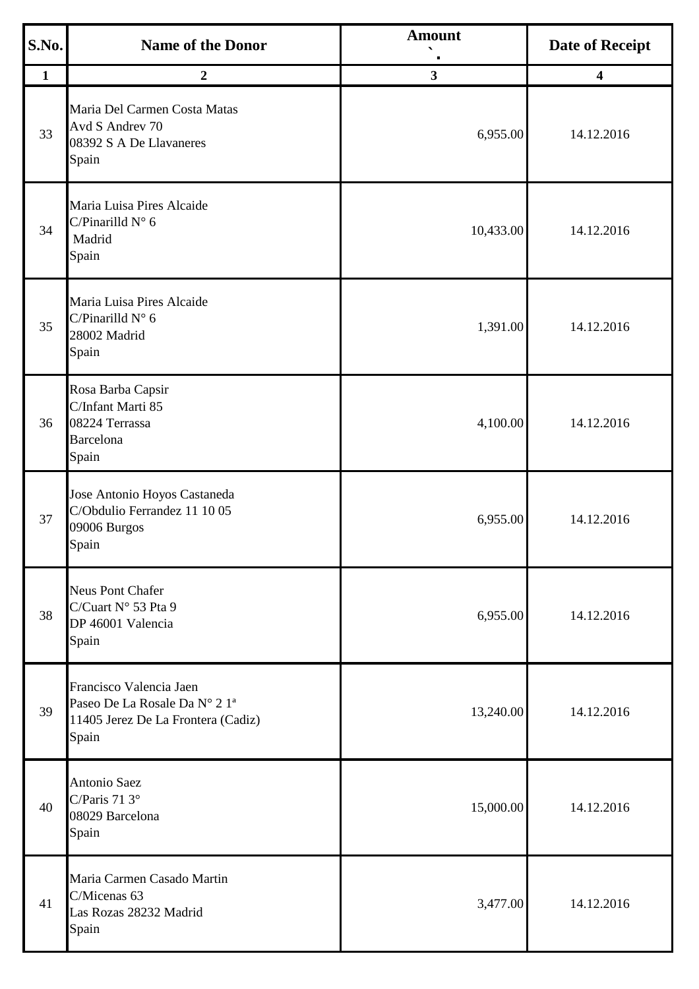| S.No.        | <b>Name of the Donor</b>                                                                                            | <b>Amount</b>           | <b>Date of Receipt</b>  |
|--------------|---------------------------------------------------------------------------------------------------------------------|-------------------------|-------------------------|
| $\mathbf{1}$ | $\boldsymbol{2}$                                                                                                    | $\overline{\mathbf{3}}$ | $\overline{\mathbf{4}}$ |
| 33           | Maria Del Carmen Costa Matas<br>Avd S Andrev 70<br>08392 S A De Llavaneres<br>Spain                                 | 6,955.00                | 14.12.2016              |
| 34           | Maria Luisa Pires Alcaide<br>C/Pinarilld $N^{\circ}$ 6<br>Madrid<br>Spain                                           | 10,433.00               | 14.12.2016              |
| 35           | Maria Luisa Pires Alcaide<br>C/Pinarilld $N^{\circ}$ 6<br>28002 Madrid<br>Spain                                     | 1,391.00                | 14.12.2016              |
| 36           | Rosa Barba Capsir<br>C/Infant Marti 85<br>08224 Terrassa<br><b>Barcelona</b><br>Spain                               | 4,100.00                | 14.12.2016              |
| 37           | Jose Antonio Hoyos Castaneda<br>C/Obdulio Ferrandez 11 10 05<br>09006 Burgos<br>Spain                               | 6,955.00                | 14.12.2016              |
| 38           | <b>Neus Pont Chafer</b><br>C/Cuart N° 53 Pta 9<br>DP 46001 Valencia<br>Spain                                        | 6,955.00                | 14.12.2016              |
| 39           | Francisco Valencia Jaen<br>Paseo De La Rosale Da Nº 2 1 <sup>ª</sup><br>11405 Jerez De La Frontera (Cadiz)<br>Spain | 13,240.00               | 14.12.2016              |
| 40           | Antonio Saez<br>C/Paris 71 3°<br>08029 Barcelona<br>Spain                                                           | 15,000.00               | 14.12.2016              |
| 41           | Maria Carmen Casado Martin<br>C/Micenas 63<br>Las Rozas 28232 Madrid<br>Spain                                       | 3,477.00                | 14.12.2016              |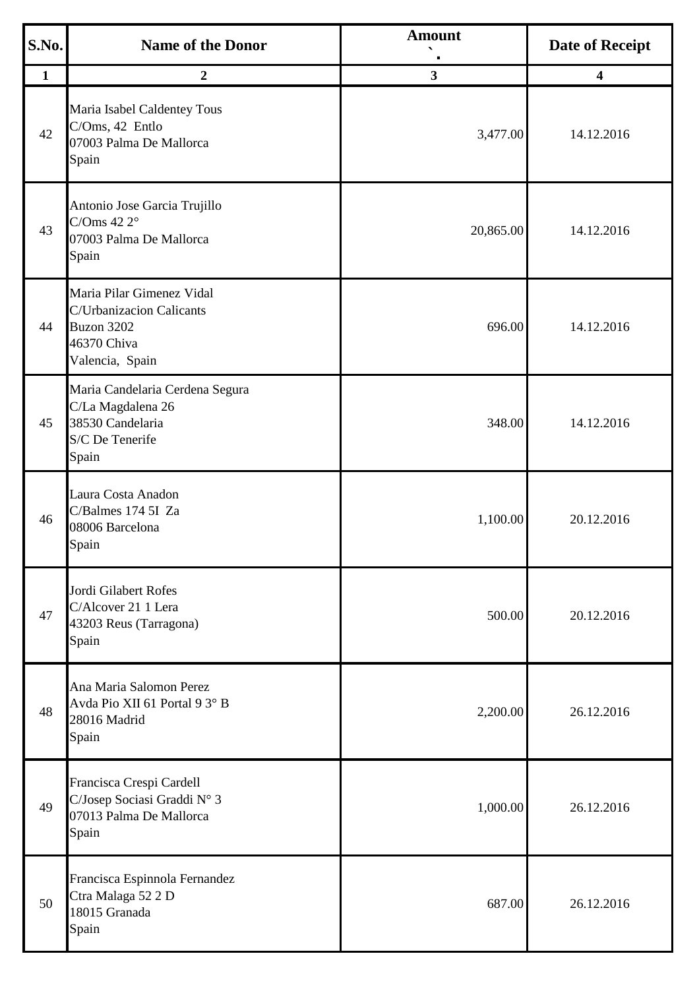| S.No.        | <b>Name of the Donor</b>                                                                              | <b>Amount</b>           | <b>Date of Receipt</b>  |
|--------------|-------------------------------------------------------------------------------------------------------|-------------------------|-------------------------|
| $\mathbf{1}$ | $\boldsymbol{2}$                                                                                      | $\overline{\mathbf{3}}$ | $\overline{\mathbf{4}}$ |
| 42           | Maria Isabel Caldentey Tous<br>C/Oms, 42 Entlo<br>07003 Palma De Mallorca<br>Spain                    | 3,477.00                | 14.12.2016              |
| 43           | Antonio Jose Garcia Trujillo<br>C/Oms 42 $2^{\circ}$<br>07003 Palma De Mallorca<br>Spain              | 20,865.00               | 14.12.2016              |
| 44           | Maria Pilar Gimenez Vidal<br>C/Urbanizacion Calicants<br>Buzon 3202<br>46370 Chiva<br>Valencia, Spain | 696.00                  | 14.12.2016              |
| 45           | Maria Candelaria Cerdena Segura<br>C/La Magdalena 26<br>38530 Candelaria<br>S/C De Tenerife<br>Spain  | 348.00                  | 14.12.2016              |
| 46           | Laura Costa Anadon<br>C/Balmes 174 5I Za<br>08006 Barcelona<br>Spain                                  | 1,100.00                | 20.12.2016              |
| 47           | Jordi Gilabert Rofes<br>C/Alcover 21 1 Lera<br>43203 Reus (Tarragona)<br>Spain                        | 500.00                  | 20.12.2016              |
| 48           | Ana Maria Salomon Perez<br>Avda Pio XII 61 Portal 9 3° B<br>28016 Madrid<br>Spain                     | 2,200.00                | 26.12.2016              |
| 49           | Francisca Crespi Cardell<br>C/Josep Sociasi Graddi Nº 3<br>07013 Palma De Mallorca<br>Spain           | 1,000.00                | 26.12.2016              |
| 50           | Francisca Espinnola Fernandez<br>Ctra Malaga 52 2 D<br>18015 Granada<br>Spain                         | 687.00                  | 26.12.2016              |